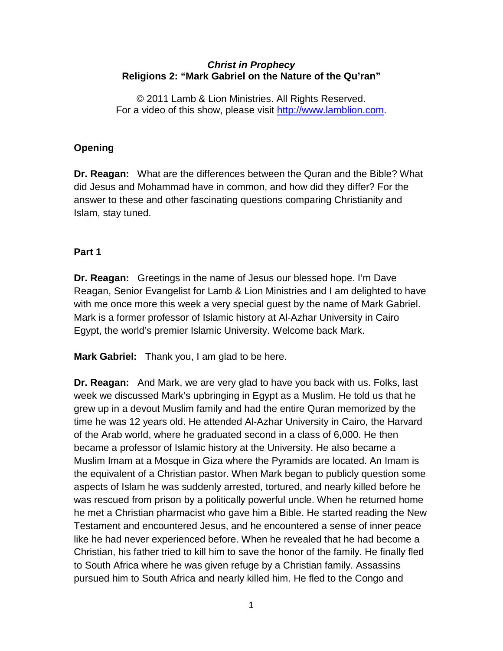#### *Christ in Prophecy* **Religions 2: "Mark Gabriel on the Nature of the Qu'ran"**

© 2011 Lamb & Lion Ministries. All Rights Reserved. For a video of this show, please visit [http://www.lamblion.com.](http://www.lamblion.com/)

# **Opening**

**Dr. Reagan:** What are the differences between the Quran and the Bible? What did Jesus and Mohammad have in common, and how did they differ? For the answer to these and other fascinating questions comparing Christianity and Islam, stay tuned.

## **Part 1**

**Dr. Reagan:** Greetings in the name of Jesus our blessed hope. I'm Dave Reagan, Senior Evangelist for Lamb & Lion Ministries and I am delighted to have with me once more this week a very special guest by the name of Mark Gabriel. Mark is a former professor of Islamic history at Al-Azhar University in Cairo Egypt, the world's premier Islamic University. Welcome back Mark.

**Mark Gabriel:** Thank you, I am glad to be here.

**Dr. Reagan:** And Mark, we are very glad to have you back with us. Folks, last week we discussed Mark's upbringing in Egypt as a Muslim. He told us that he grew up in a devout Muslim family and had the entire Quran memorized by the time he was 12 years old. He attended Al-Azhar University in Cairo, the Harvard of the Arab world, where he graduated second in a class of 6,000. He then became a professor of Islamic history at the University. He also became a Muslim Imam at a Mosque in Giza where the Pyramids are located. An Imam is the equivalent of a Christian pastor. When Mark began to publicly question some aspects of Islam he was suddenly arrested, tortured, and nearly killed before he was rescued from prison by a politically powerful uncle. When he returned home he met a Christian pharmacist who gave him a Bible. He started reading the New Testament and encountered Jesus, and he encountered a sense of inner peace like he had never experienced before. When he revealed that he had become a Christian, his father tried to kill him to save the honor of the family. He finally fled to South Africa where he was given refuge by a Christian family. Assassins pursued him to South Africa and nearly killed him. He fled to the Congo and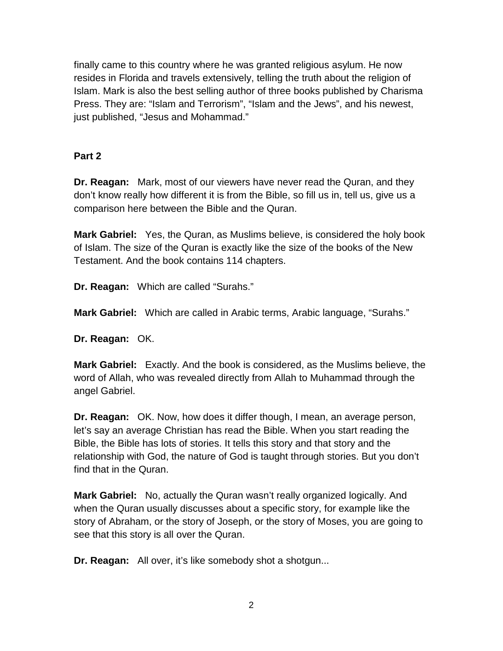finally came to this country where he was granted religious asylum. He now resides in Florida and travels extensively, telling the truth about the religion of Islam. Mark is also the best selling author of three books published by Charisma Press. They are: "Islam and Terrorism", "Islam and the Jews", and his newest, just published, "Jesus and Mohammad."

## **Part 2**

**Dr. Reagan:** Mark, most of our viewers have never read the Quran, and they don't know really how different it is from the Bible, so fill us in, tell us, give us a comparison here between the Bible and the Quran.

**Mark Gabriel:** Yes, the Quran, as Muslims believe, is considered the holy book of Islam. The size of the Quran is exactly like the size of the books of the New Testament. And the book contains 114 chapters.

**Dr. Reagan:** Which are called "Surahs."

**Mark Gabriel:** Which are called in Arabic terms, Arabic language, "Surahs."

**Dr. Reagan:** OK.

**Mark Gabriel:** Exactly. And the book is considered, as the Muslims believe, the word of Allah, who was revealed directly from Allah to Muhammad through the angel Gabriel.

**Dr. Reagan:** OK. Now, how does it differ though, I mean, an average person, let's say an average Christian has read the Bible. When you start reading the Bible, the Bible has lots of stories. It tells this story and that story and the relationship with God, the nature of God is taught through stories. But you don't find that in the Quran.

**Mark Gabriel:** No, actually the Quran wasn't really organized logically. And when the Quran usually discusses about a specific story, for example like the story of Abraham, or the story of Joseph, or the story of Moses, you are going to see that this story is all over the Quran.

**Dr. Reagan:** All over, it's like somebody shot a shotgun...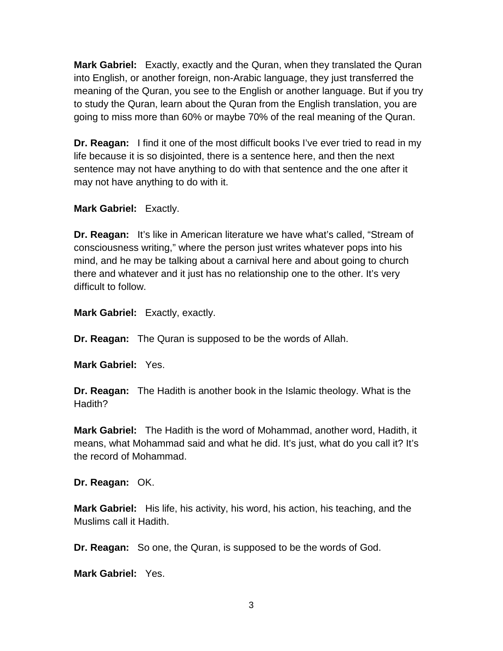**Mark Gabriel:** Exactly, exactly and the Quran, when they translated the Quran into English, or another foreign, non-Arabic language, they just transferred the meaning of the Quran, you see to the English or another language. But if you try to study the Quran, learn about the Quran from the English translation, you are going to miss more than 60% or maybe 70% of the real meaning of the Quran.

**Dr. Reagan:** I find it one of the most difficult books I've ever tried to read in my life because it is so disjointed, there is a sentence here, and then the next sentence may not have anything to do with that sentence and the one after it may not have anything to do with it.

**Mark Gabriel:** Exactly.

**Dr. Reagan:** It's like in American literature we have what's called, "Stream of consciousness writing," where the person just writes whatever pops into his mind, and he may be talking about a carnival here and about going to church there and whatever and it just has no relationship one to the other. It's very difficult to follow.

**Mark Gabriel:** Exactly, exactly.

**Dr. Reagan:** The Quran is supposed to be the words of Allah.

**Mark Gabriel:** Yes.

**Dr. Reagan:** The Hadith is another book in the Islamic theology. What is the Hadith?

**Mark Gabriel:** The Hadith is the word of Mohammad, another word, Hadith, it means, what Mohammad said and what he did. It's just, what do you call it? It's the record of Mohammad.

**Dr. Reagan:** OK.

**Mark Gabriel:** His life, his activity, his word, his action, his teaching, and the Muslims call it Hadith.

**Dr. Reagan:** So one, the Quran, is supposed to be the words of God.

**Mark Gabriel:** Yes.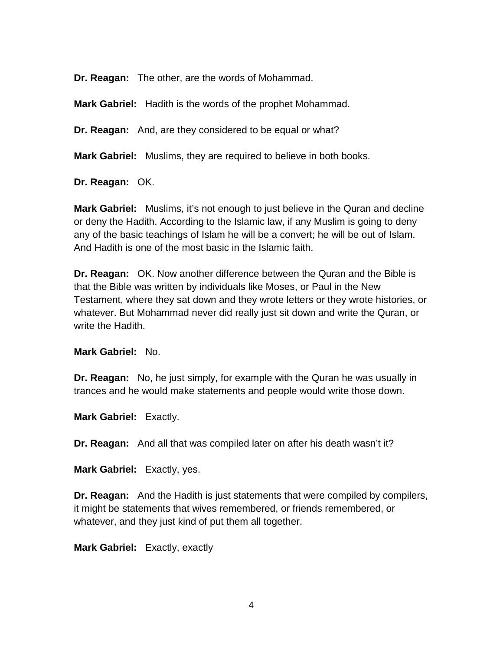**Dr. Reagan:** The other, are the words of Mohammad.

**Mark Gabriel:** Hadith is the words of the prophet Mohammad.

**Dr. Reagan:** And, are they considered to be equal or what?

**Mark Gabriel:** Muslims, they are required to believe in both books.

**Dr. Reagan:** OK.

**Mark Gabriel:** Muslims, it's not enough to just believe in the Quran and decline or deny the Hadith. According to the Islamic law, if any Muslim is going to deny any of the basic teachings of Islam he will be a convert; he will be out of Islam. And Hadith is one of the most basic in the Islamic faith.

**Dr. Reagan:** OK. Now another difference between the Quran and the Bible is that the Bible was written by individuals like Moses, or Paul in the New Testament, where they sat down and they wrote letters or they wrote histories, or whatever. But Mohammad never did really just sit down and write the Quran, or write the Hadith.

**Mark Gabriel:** No.

**Dr. Reagan:** No, he just simply, for example with the Quran he was usually in trances and he would make statements and people would write those down.

**Mark Gabriel:** Exactly.

**Dr. Reagan:** And all that was compiled later on after his death wasn't it?

**Mark Gabriel:** Exactly, yes.

**Dr. Reagan:** And the Hadith is just statements that were compiled by compilers, it might be statements that wives remembered, or friends remembered, or whatever, and they just kind of put them all together.

**Mark Gabriel:** Exactly, exactly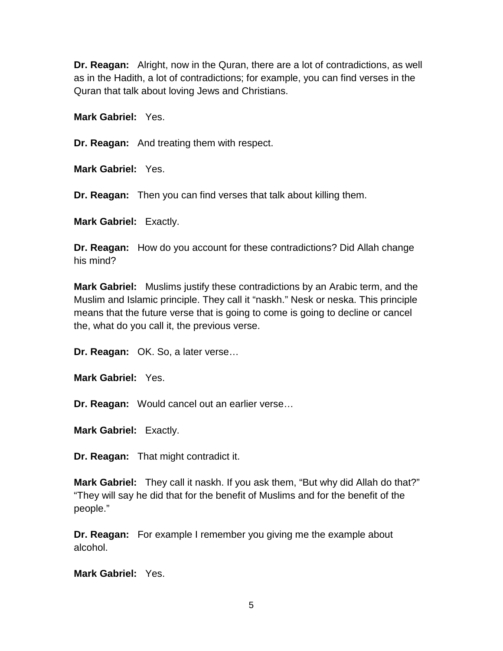**Dr. Reagan:** Alright, now in the Quran, there are a lot of contradictions, as well as in the Hadith, a lot of contradictions; for example, you can find verses in the Quran that talk about loving Jews and Christians.

**Mark Gabriel:** Yes.

**Dr. Reagan:** And treating them with respect.

**Mark Gabriel:** Yes.

**Dr. Reagan:** Then you can find verses that talk about killing them.

**Mark Gabriel:** Exactly.

**Dr. Reagan:** How do you account for these contradictions? Did Allah change his mind?

**Mark Gabriel:** Muslims justify these contradictions by an Arabic term, and the Muslim and Islamic principle. They call it "naskh." Nesk or neska. This principle means that the future verse that is going to come is going to decline or cancel the, what do you call it, the previous verse.

**Dr. Reagan:** OK. So, a later verse…

**Mark Gabriel:** Yes.

**Dr. Reagan:** Would cancel out an earlier verse…

**Mark Gabriel:** Exactly.

**Dr. Reagan:** That might contradict it.

**Mark Gabriel:** They call it naskh. If you ask them, "But why did Allah do that?" "They will say he did that for the benefit of Muslims and for the benefit of the people."

**Dr. Reagan:** For example I remember you giving me the example about alcohol.

**Mark Gabriel:** Yes.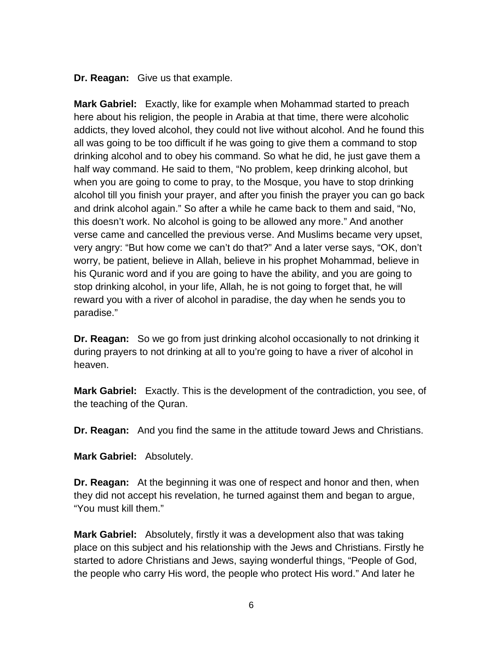**Dr. Reagan:** Give us that example.

**Mark Gabriel:** Exactly, like for example when Mohammad started to preach here about his religion, the people in Arabia at that time, there were alcoholic addicts, they loved alcohol, they could not live without alcohol. And he found this all was going to be too difficult if he was going to give them a command to stop drinking alcohol and to obey his command. So what he did, he just gave them a half way command. He said to them, "No problem, keep drinking alcohol, but when you are going to come to pray, to the Mosque, you have to stop drinking alcohol till you finish your prayer, and after you finish the prayer you can go back and drink alcohol again." So after a while he came back to them and said, "No, this doesn't work. No alcohol is going to be allowed any more." And another verse came and cancelled the previous verse. And Muslims became very upset, very angry: "But how come we can't do that?" And a later verse says, "OK, don't worry, be patient, believe in Allah, believe in his prophet Mohammad, believe in his Quranic word and if you are going to have the ability, and you are going to stop drinking alcohol, in your life, Allah, he is not going to forget that, he will reward you with a river of alcohol in paradise, the day when he sends you to paradise."

**Dr. Reagan:** So we go from just drinking alcohol occasionally to not drinking it during prayers to not drinking at all to you're going to have a river of alcohol in heaven.

**Mark Gabriel:** Exactly. This is the development of the contradiction, you see, of the teaching of the Quran.

**Dr. Reagan:** And you find the same in the attitude toward Jews and Christians.

**Mark Gabriel:** Absolutely.

**Dr. Reagan:** At the beginning it was one of respect and honor and then, when they did not accept his revelation, he turned against them and began to argue, "You must kill them."

**Mark Gabriel:** Absolutely, firstly it was a development also that was taking place on this subject and his relationship with the Jews and Christians. Firstly he started to adore Christians and Jews, saying wonderful things, "People of God, the people who carry His word, the people who protect His word." And later he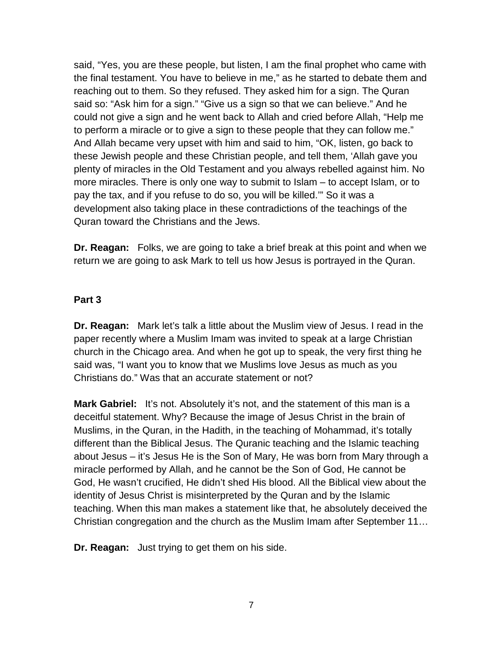said, "Yes, you are these people, but listen, I am the final prophet who came with the final testament. You have to believe in me," as he started to debate them and reaching out to them. So they refused. They asked him for a sign. The Quran said so: "Ask him for a sign." "Give us a sign so that we can believe." And he could not give a sign and he went back to Allah and cried before Allah, "Help me to perform a miracle or to give a sign to these people that they can follow me." And Allah became very upset with him and said to him, "OK, listen, go back to these Jewish people and these Christian people, and tell them, 'Allah gave you plenty of miracles in the Old Testament and you always rebelled against him. No more miracles. There is only one way to submit to Islam – to accept Islam, or to pay the tax, and if you refuse to do so, you will be killed.'" So it was a development also taking place in these contradictions of the teachings of the Quran toward the Christians and the Jews.

**Dr. Reagan:** Folks, we are going to take a brief break at this point and when we return we are going to ask Mark to tell us how Jesus is portrayed in the Quran.

#### **Part 3**

**Dr. Reagan:** Mark let's talk a little about the Muslim view of Jesus. I read in the paper recently where a Muslim Imam was invited to speak at a large Christian church in the Chicago area. And when he got up to speak, the very first thing he said was, "I want you to know that we Muslims love Jesus as much as you Christians do." Was that an accurate statement or not?

**Mark Gabriel:** It's not. Absolutely it's not, and the statement of this man is a deceitful statement. Why? Because the image of Jesus Christ in the brain of Muslims, in the Quran, in the Hadith, in the teaching of Mohammad, it's totally different than the Biblical Jesus. The Quranic teaching and the Islamic teaching about Jesus – it's Jesus He is the Son of Mary, He was born from Mary through a miracle performed by Allah, and he cannot be the Son of God, He cannot be God, He wasn't crucified, He didn't shed His blood. All the Biblical view about the identity of Jesus Christ is misinterpreted by the Quran and by the Islamic teaching. When this man makes a statement like that, he absolutely deceived the Christian congregation and the church as the Muslim Imam after September 11…

**Dr. Reagan:** Just trying to get them on his side.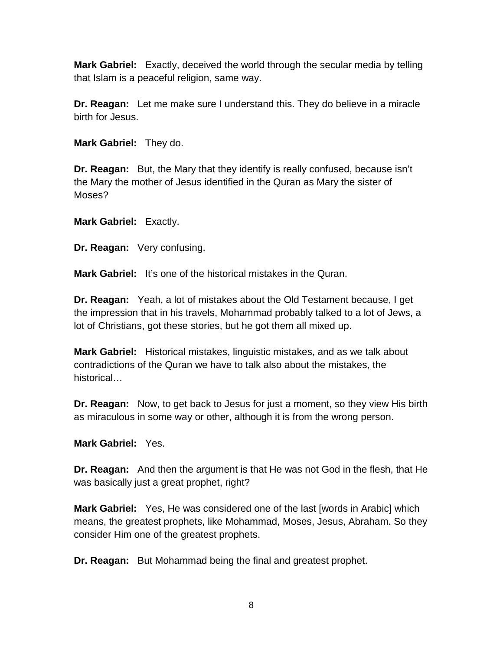**Mark Gabriel:** Exactly, deceived the world through the secular media by telling that Islam is a peaceful religion, same way.

**Dr. Reagan:** Let me make sure I understand this. They do believe in a miracle birth for Jesus.

**Mark Gabriel:** They do.

**Dr. Reagan:** But, the Mary that they identify is really confused, because isn't the Mary the mother of Jesus identified in the Quran as Mary the sister of Moses?

**Mark Gabriel:** Exactly.

**Dr. Reagan:** Very confusing.

**Mark Gabriel:** It's one of the historical mistakes in the Quran.

**Dr. Reagan:** Yeah, a lot of mistakes about the Old Testament because, I get the impression that in his travels, Mohammad probably talked to a lot of Jews, a lot of Christians, got these stories, but he got them all mixed up.

**Mark Gabriel:** Historical mistakes, linguistic mistakes, and as we talk about contradictions of the Quran we have to talk also about the mistakes, the historical…

**Dr. Reagan:** Now, to get back to Jesus for just a moment, so they view His birth as miraculous in some way or other, although it is from the wrong person.

**Mark Gabriel:** Yes.

**Dr. Reagan:** And then the argument is that He was not God in the flesh, that He was basically just a great prophet, right?

**Mark Gabriel:** Yes, He was considered one of the last [words in Arabic] which means, the greatest prophets, like Mohammad, Moses, Jesus, Abraham. So they consider Him one of the greatest prophets.

**Dr. Reagan:** But Mohammad being the final and greatest prophet.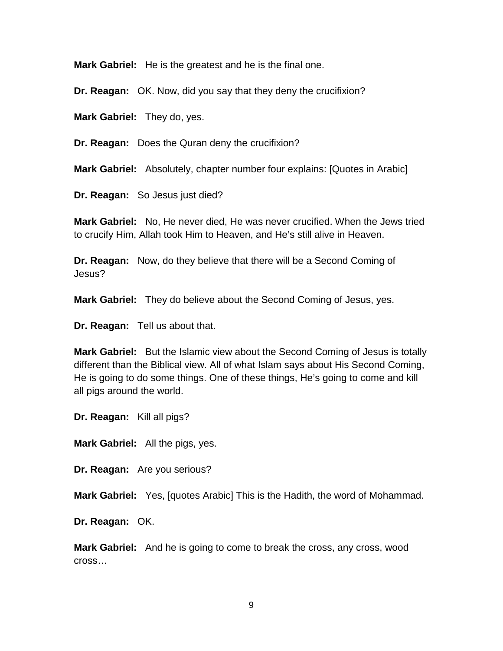**Mark Gabriel:** He is the greatest and he is the final one.

**Dr. Reagan:** OK. Now, did you say that they deny the crucifixion?

**Mark Gabriel:** They do, yes.

**Dr. Reagan:** Does the Quran deny the crucifixion?

**Mark Gabriel:** Absolutely, chapter number four explains: [Quotes in Arabic]

**Dr. Reagan:** So Jesus just died?

**Mark Gabriel:** No, He never died, He was never crucified. When the Jews tried to crucify Him, Allah took Him to Heaven, and He's still alive in Heaven.

**Dr. Reagan:** Now, do they believe that there will be a Second Coming of Jesus?

**Mark Gabriel:** They do believe about the Second Coming of Jesus, yes.

**Dr. Reagan:** Tell us about that.

**Mark Gabriel:** But the Islamic view about the Second Coming of Jesus is totally different than the Biblical view. All of what Islam says about His Second Coming, He is going to do some things. One of these things, He's going to come and kill all pigs around the world.

**Dr. Reagan:** Kill all pigs?

**Mark Gabriel:** All the pigs, yes.

**Dr. Reagan:** Are you serious?

**Mark Gabriel:** Yes, [quotes Arabic] This is the Hadith, the word of Mohammad.

**Dr. Reagan:** OK.

**Mark Gabriel:** And he is going to come to break the cross, any cross, wood cross…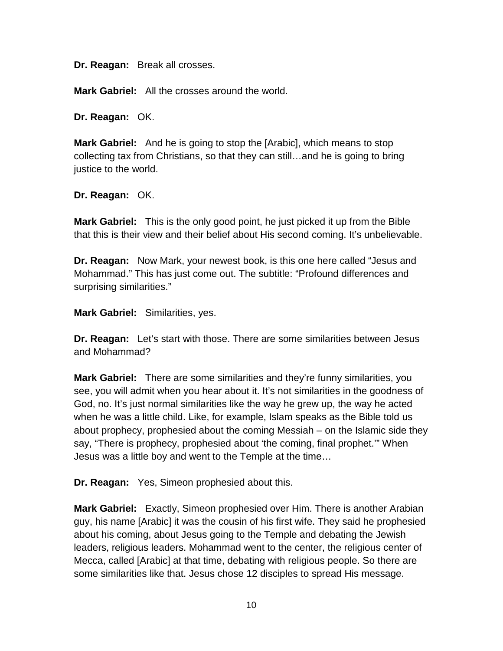**Dr. Reagan:** Break all crosses.

**Mark Gabriel:** All the crosses around the world.

**Dr. Reagan:** OK.

**Mark Gabriel:** And he is going to stop the [Arabic], which means to stop collecting tax from Christians, so that they can still…and he is going to bring justice to the world.

**Dr. Reagan:** OK.

**Mark Gabriel:** This is the only good point, he just picked it up from the Bible that this is their view and their belief about His second coming. It's unbelievable.

**Dr. Reagan:** Now Mark, your newest book, is this one here called "Jesus and Mohammad." This has just come out. The subtitle: "Profound differences and surprising similarities."

**Mark Gabriel:** Similarities, yes.

**Dr. Reagan:** Let's start with those. There are some similarities between Jesus and Mohammad?

**Mark Gabriel:** There are some similarities and they're funny similarities, you see, you will admit when you hear about it. It's not similarities in the goodness of God, no. It's just normal similarities like the way he grew up, the way he acted when he was a little child. Like, for example, Islam speaks as the Bible told us about prophecy, prophesied about the coming Messiah – on the Islamic side they say, "There is prophecy, prophesied about 'the coming, final prophet.'" When Jesus was a little boy and went to the Temple at the time…

**Dr. Reagan:** Yes, Simeon prophesied about this.

**Mark Gabriel:** Exactly, Simeon prophesied over Him. There is another Arabian guy, his name [Arabic] it was the cousin of his first wife. They said he prophesied about his coming, about Jesus going to the Temple and debating the Jewish leaders, religious leaders. Mohammad went to the center, the religious center of Mecca, called [Arabic] at that time, debating with religious people. So there are some similarities like that. Jesus chose 12 disciples to spread His message.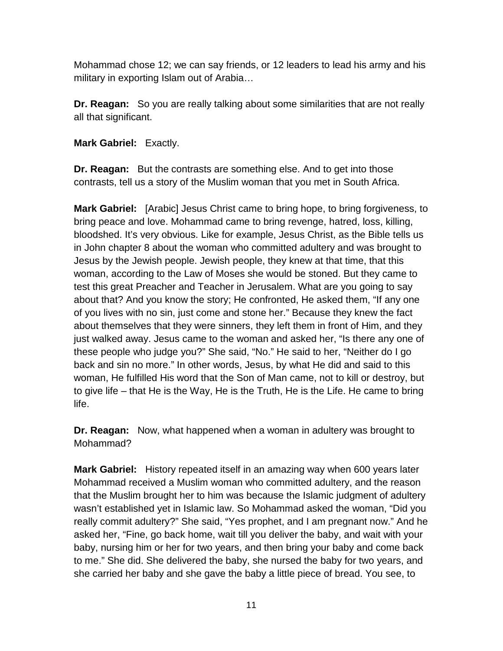Mohammad chose 12; we can say friends, or 12 leaders to lead his army and his military in exporting Islam out of Arabia…

**Dr. Reagan:** So you are really talking about some similarities that are not really all that significant.

**Mark Gabriel:** Exactly.

**Dr. Reagan:** But the contrasts are something else. And to get into those contrasts, tell us a story of the Muslim woman that you met in South Africa.

**Mark Gabriel:** [Arabic] Jesus Christ came to bring hope, to bring forgiveness, to bring peace and love. Mohammad came to bring revenge, hatred, loss, killing, bloodshed. It's very obvious. Like for example, Jesus Christ, as the Bible tells us in John chapter 8 about the woman who committed adultery and was brought to Jesus by the Jewish people. Jewish people, they knew at that time, that this woman, according to the Law of Moses she would be stoned. But they came to test this great Preacher and Teacher in Jerusalem. What are you going to say about that? And you know the story; He confronted, He asked them, "If any one of you lives with no sin, just come and stone her." Because they knew the fact about themselves that they were sinners, they left them in front of Him, and they just walked away. Jesus came to the woman and asked her, "Is there any one of these people who judge you?" She said, "No." He said to her, "Neither do I go back and sin no more." In other words, Jesus, by what He did and said to this woman, He fulfilled His word that the Son of Man came, not to kill or destroy, but to give life – that He is the Way, He is the Truth, He is the Life. He came to bring life.

**Dr. Reagan:** Now, what happened when a woman in adultery was brought to Mohammad?

**Mark Gabriel:** History repeated itself in an amazing way when 600 years later Mohammad received a Muslim woman who committed adultery, and the reason that the Muslim brought her to him was because the Islamic judgment of adultery wasn't established yet in Islamic law. So Mohammad asked the woman, "Did you really commit adultery?" She said, "Yes prophet, and I am pregnant now." And he asked her, "Fine, go back home, wait till you deliver the baby, and wait with your baby, nursing him or her for two years, and then bring your baby and come back to me." She did. She delivered the baby, she nursed the baby for two years, and she carried her baby and she gave the baby a little piece of bread. You see, to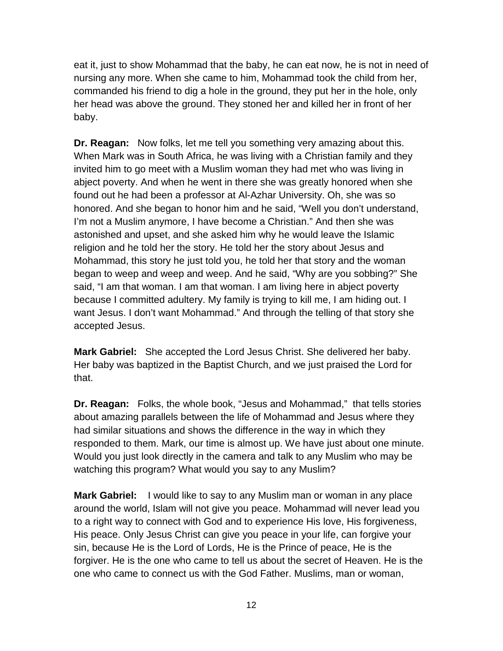eat it, just to show Mohammad that the baby, he can eat now, he is not in need of nursing any more. When she came to him, Mohammad took the child from her, commanded his friend to dig a hole in the ground, they put her in the hole, only her head was above the ground. They stoned her and killed her in front of her baby.

**Dr. Reagan:** Now folks, let me tell you something very amazing about this. When Mark was in South Africa, he was living with a Christian family and they invited him to go meet with a Muslim woman they had met who was living in abject poverty. And when he went in there she was greatly honored when she found out he had been a professor at Al-Azhar University. Oh, she was so honored. And she began to honor him and he said, "Well you don't understand, I'm not a Muslim anymore, I have become a Christian." And then she was astonished and upset, and she asked him why he would leave the Islamic religion and he told her the story. He told her the story about Jesus and Mohammad, this story he just told you, he told her that story and the woman began to weep and weep and weep. And he said, "Why are you sobbing?" She said, "I am that woman. I am that woman. I am living here in abject poverty because I committed adultery. My family is trying to kill me, I am hiding out. I want Jesus. I don't want Mohammad." And through the telling of that story she accepted Jesus.

**Mark Gabriel:** She accepted the Lord Jesus Christ. She delivered her baby. Her baby was baptized in the Baptist Church, and we just praised the Lord for that.

**Dr. Reagan:** Folks, the whole book, "Jesus and Mohammad," that tells stories about amazing parallels between the life of Mohammad and Jesus where they had similar situations and shows the difference in the way in which they responded to them. Mark, our time is almost up. We have just about one minute. Would you just look directly in the camera and talk to any Muslim who may be watching this program? What would you say to any Muslim?

**Mark Gabriel:** I would like to say to any Muslim man or woman in any place around the world, Islam will not give you peace. Mohammad will never lead you to a right way to connect with God and to experience His love, His forgiveness, His peace. Only Jesus Christ can give you peace in your life, can forgive your sin, because He is the Lord of Lords, He is the Prince of peace, He is the forgiver. He is the one who came to tell us about the secret of Heaven. He is the one who came to connect us with the God Father. Muslims, man or woman,